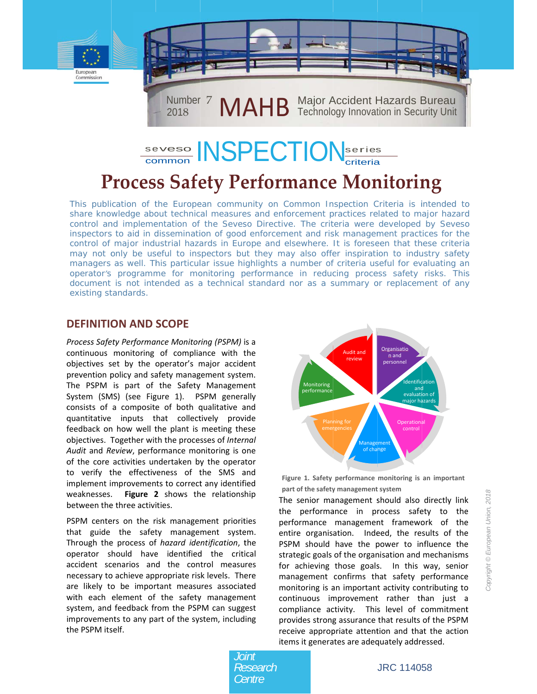



# **Process Safety Performance Monitoring**

This publication of the European community on Common Inspection Criteria is intended to share knowledge about technical measures and enforcement practices related to major hazard control and implementation of the Seveso Directive. The criteria were developed by Seveso inspectors to aid in dissemination of good enforcement and risk management practices for the control of major industrial hazards in Europe and elsewhere. It is foreseen that these criteria may not only be useful to inspectors but they may also offer inspiration to industry safety managers as well. This particular issue highlights a number of criteria useful for evaluating an operator's programme for monitoring performance in reducing process safety risks. This document is not intended as a technical standard nor as a summary or replacement of any existing standards.

### **DEFINITION AND SCOPE**

Process Safety Performance Monitoring (PSPM) is a continuous monitoring of compliance with the objectives set by the operator's major accident prevention policy and safety management system. The PSPM is part of the Safety Management System (SMS) (see Figure 1). PSPM generally consists of a composite of both qualitative and quantitative inputs that collectively provide feedback on how well the plant is meeting these objectives. Together with the processes of Internal Audit and Review, performance monitoring is one of the core activities undertaken by the operator to verify the effectiveness of the SMS and implement improvements to correct any identified weaknesses. Figure 2 shows the relationship between the three activities.

PSPM centers on the risk management priorities that guide the safety management system. Through the process of hazard identification, the operator should have identified the critical accident scenarios and the control measures necessary to achieve appropriate risk levels. There are likely to be important measures associated with each element of the safety management system, and feedback from the PSPM can suggest improvements to any part of the system, including the PSPM itself.



Figure 1. Safety performance monitoring is an important part of the safety management system

The senior management should also directly link the performance in process safety to the performance management framework of the entire organisation. Indeed, the results of the PSPM should have the power to influence the strategic goals of the organisation and mechanisms for achieving those goals. In this way, senior management confirms that safety performance monitoring is an important activity contributing to continuous improvement rather than just a compliance activity. This level of commitment provides strong assurance that results of the PSPM receive appropriate attention and that the action items it generates are adequately addressed.

Joint Research Centre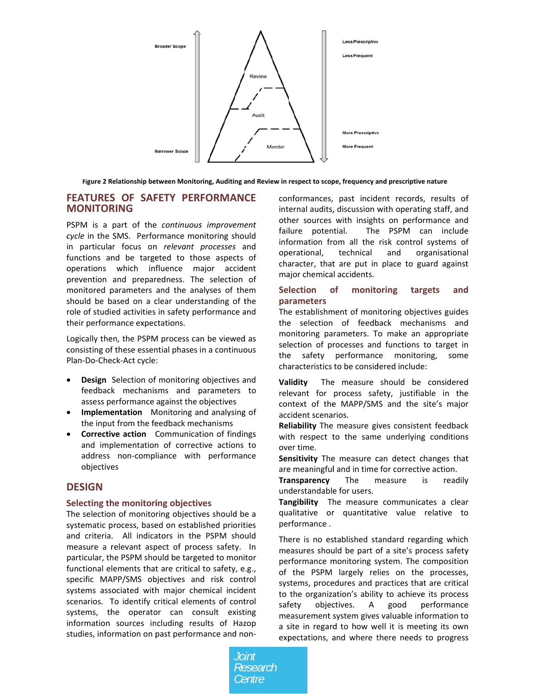

Figure 2 Relationship between Monitoring, Auditing and Review in respect to scope, frequency and prescriptive nature

#### **FEATURES OF SAFETY PERFORMANCE MONITORING**

PSPM is a part of the continuous improvement cycle in the SMS. Performance monitoring should in particular focus on relevant processes and functions and be targeted to those aspects of operations which influence major accident prevention and preparedness. The selection of monitored parameters and the analyses of them should be based on a clear understanding of the role of studied activities in safety performance and their performance expectations.

Logically then, the PSPM process can be viewed as consisting of these essential phases in a continuous Plan-Do-Check-Act cycle:

- Design Selection of monitoring objectives and feedback mechanisms and parameters to assess performance against the objectives
- Implementation Monitoring and analysing of the input from the feedback mechanisms
- Corrective action Communication of findings and implementation of corrective actions to address non-compliance with performance objectives

#### **DESIGN**

#### Selecting the monitoring objectives

The selection of monitoring objectives should be a systematic process, based on established priorities and criteria. All indicators in the PSPM should measure a relevant aspect of process safety. In particular, the PSPM should be targeted to monitor functional elements that are critical to safety, e.g., specific MAPP/SMS objectives and risk control systems associated with major chemical incident scenarios. To identify critical elements of control systems, the operator can consult existing information sources including results of Hazop studies, information on past performance and nonconformances, past incident records, results of internal audits, discussion with operating staff, and other sources with insights on performance and The PSPM can include failure potential. information from all the risk control systems of operational, technical and organisational character, that are put in place to guard against major chemical accidents.

#### Selection of monitoring targets and parameters

The establishment of monitoring objectives guides the selection of feedback mechanisms and monitoring parameters. To make an appropriate selection of processes and functions to target in the safety performance monitoring, some characteristics to be considered include:

The measure should be considered **Validity** relevant for process safety, justifiable in the context of the MAPP/SMS and the site's major accident scenarios.

Reliability The measure gives consistent feedback with respect to the same underlying conditions over time.

Sensitivity The measure can detect changes that are meaningful and in time for corrective action.

**Transparency** The measure ic readily understandable for users.

Tangibility The measure communicates a clear qualitative or quantitative value relative to performance.

There is no established standard regarding which measures should be part of a site's process safety performance monitoring system. The composition of the PSPM largely relies on the processes, systems, procedures and practices that are critical to the organization's ability to achieve its process safety objectives.  $A$ good performance measurement system gives valuable information to a site in regard to how well it is meeting its own expectations, and where there needs to progress

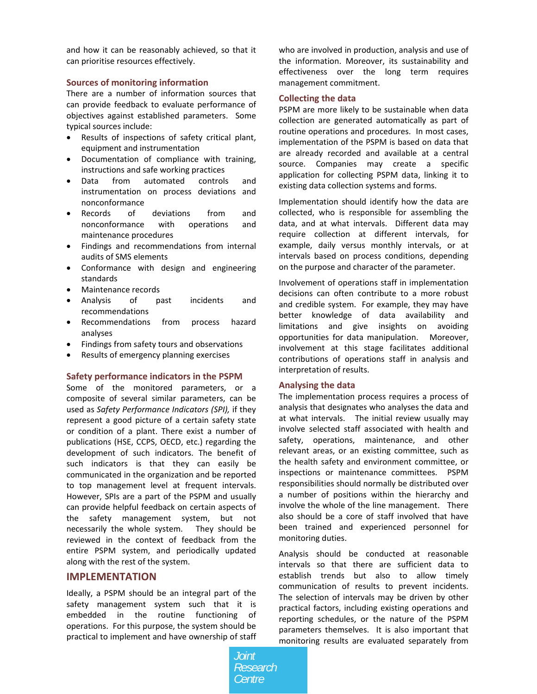and how it can be reasonably achieved, so that it can prioritise resources effectively.

#### **Sources of monitoring information**

There are a number of information sources that can provide feedback to evaluate performance of objectives against established parameters. Some typical sources include:

- Results of inspections of safety critical plant, equipment and instrumentation
- Documentation of compliance with training, instructions and safe working practices
- Data from automated controls and instrumentation on process deviations and nonconformance
- Records of deviations from and nonconformance with operations and maintenance procedures
- Findings and recommendations from internal audits of SMS elements
- Conformance with design and engineering standards
- Maintenance records
- Analysis of past incidents and recommendations
- Recommendations from process hazard analyses
- Findings from safety tours and observations
- Results of emergency planning exercises

#### **Safety performance indicators in the PSPM**

Some of the monitored parameters, or a composite of several similar parameters, can be used as *Safety Performance Indicators (SPI),* if they represent a good picture of a certain safety state or condition of a plant. There exist a number of publications (HSE, CCPS, OECD, etc.) regarding the development of such indicators. The benefit of such indicators is that they can easily be communicated in the organization and be reported to top management level at frequent intervals. However, SPIs are a part of the PSPM and usually can provide helpful feedback on certain aspects of the safety management system, but not necessarily the whole system. They should be reviewed in the context of feedback from the entire PSPM system, and periodically updated along with the rest of the system.

#### **IMPLEMENTATION**

Ideally, a PSPM should be an integral part of the safety management system such that it is embedded in the routine functioning of operations. For this purpose, the system should be practical to implement and have ownership of staff who are involved in production, analysis and use of the information. Moreover, its sustainability and effectiveness over the long term requires management commitment.

#### **Collecting the data**

PSPM are more likely to be sustainable when data collection are generated automatically as part of routine operations and procedures. In most cases, implementation of the PSPM is based on data that are already recorded and available at a central source. Companies may create a specific application for collecting PSPM data, linking it to existing data collection systems and forms.

Implementation should identify how the data are collected, who is responsible for assembling the data, and at what intervals. Different data may require collection at different intervals, for example, daily versus monthly intervals, or at intervals based on process conditions, depending on the purpose and character of the parameter.

Involvement of operations staff in implementation decisions can often contribute to a more robust and credible system. For example, they may have better knowledge of data availability and limitations and give insights on avoiding opportunities for data manipulation. Moreover, involvement at this stage facilitates additional contributions of operations staff in analysis and interpretation of results.

#### **Analysing the data**

The implementation process requires a process of analysis that designates who analyses the data and at what intervals. The initial review usually may involve selected staff associated with health and safety, operations, maintenance, and other relevant areas, or an existing committee, such as the health safety and environment committee, or inspections or maintenance committees. PSPM responsibilities should normally be distributed over a number of positions within the hierarchy and involve the whole of the line management. There also should be a core of staff involved that have been trained and experienced personnel for monitoring duties.

Analysis should be conducted at reasonable intervals so that there are sufficient data to establish trends but also to allow timely communication of results to prevent incidents. The selection of intervals may be driven by other practical factors, including existing operations and reporting schedules, or the nature of the PSPM parameters themselves. It is also important that monitoring results are evaluated separately from